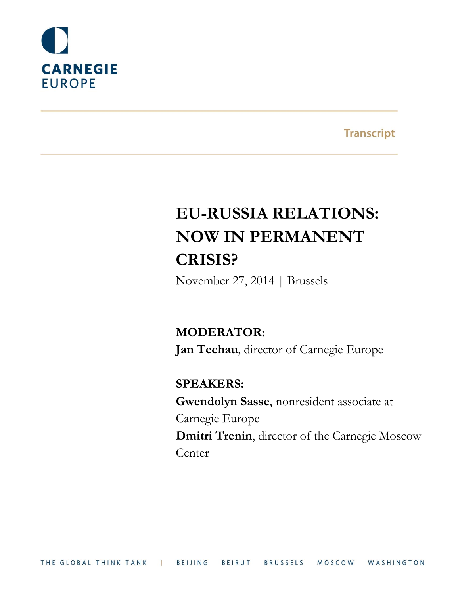

**Transcript** 

# **EU-RUSSIA RELATIONS: NOW IN PERMANENT CRISIS?**

November 27, 2014 | Brussels

**MODERATOR: Jan Techau**, director of Carnegie Europe

# **SPEAKERS:**

**Gwendolyn Sasse**, nonresident associate at Carnegie Europe **Dmitri Trenin**, director of the Carnegie Moscow **Center**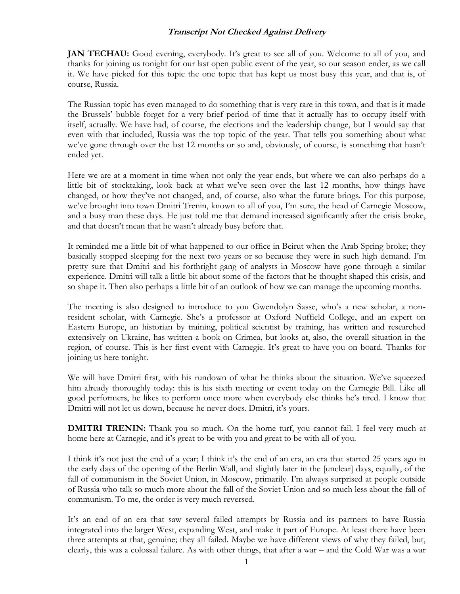**JAN TECHAU:** Good evening, everybody. It's great to see all of you. Welcome to all of you, and thanks for joining us tonight for our last open public event of the year, so our season ender, as we call it. We have picked for this topic the one topic that has kept us most busy this year, and that is, of course, Russia.

The Russian topic has even managed to do something that is very rare in this town, and that is it made the Brussels' bubble forget for a very brief period of time that it actually has to occupy itself with itself, actually. We have had, of course, the elections and the leadership change, but I would say that even with that included, Russia was the top topic of the year. That tells you something about what we've gone through over the last 12 months or so and, obviously, of course, is something that hasn't ended yet.

Here we are at a moment in time when not only the year ends, but where we can also perhaps do a little bit of stocktaking, look back at what we've seen over the last 12 months, how things have changed, or how they've not changed, and, of course, also what the future brings. For this purpose, we've brought into town Dmitri Trenin, known to all of you, I'm sure, the head of Carnegie Moscow, and a busy man these days. He just told me that demand increased significantly after the crisis broke, and that doesn't mean that he wasn't already busy before that.

It reminded me a little bit of what happened to our office in Beirut when the Arab Spring broke; they basically stopped sleeping for the next two years or so because they were in such high demand. I'm pretty sure that Dmitri and his forthright gang of analysts in Moscow have gone through a similar experience. Dmitri will talk a little bit about some of the factors that he thought shaped this crisis, and so shape it. Then also perhaps a little bit of an outlook of how we can manage the upcoming months.

The meeting is also designed to introduce to you Gwendolyn Sasse, who's a new scholar, a nonresident scholar, with Carnegie. She's a professor at Oxford Nuffield College, and an expert on Eastern Europe, an historian by training, political scientist by training, has written and researched extensively on Ukraine, has written a book on Crimea, but looks at, also, the overall situation in the region, of course. This is her first event with Carnegie. It's great to have you on board. Thanks for joining us here tonight.

We will have Dmitri first, with his rundown of what he thinks about the situation. We've squeezed him already thoroughly today: this is his sixth meeting or event today on the Carnegie Bill. Like all good performers, he likes to perform once more when everybody else thinks he's tired. I know that Dmitri will not let us down, because he never does. Dmitri, it's yours.

**DMITRI TRENIN:** Thank you so much. On the home turf, you cannot fail. I feel very much at home here at Carnegie, and it's great to be with you and great to be with all of you.

I think it's not just the end of a year; I think it's the end of an era, an era that started 25 years ago in the early days of the opening of the Berlin Wall, and slightly later in the [unclear] days, equally, of the fall of communism in the Soviet Union, in Moscow, primarily. I'm always surprised at people outside of Russia who talk so much more about the fall of the Soviet Union and so much less about the fall of communism. To me, the order is very much reversed.

It's an end of an era that saw several failed attempts by Russia and its partners to have Russia integrated into the larger West, expanding West, and make it part of Europe. At least there have been three attempts at that, genuine; they all failed. Maybe we have different views of why they failed, but, clearly, this was a colossal failure. As with other things, that after a war – and the Cold War was a war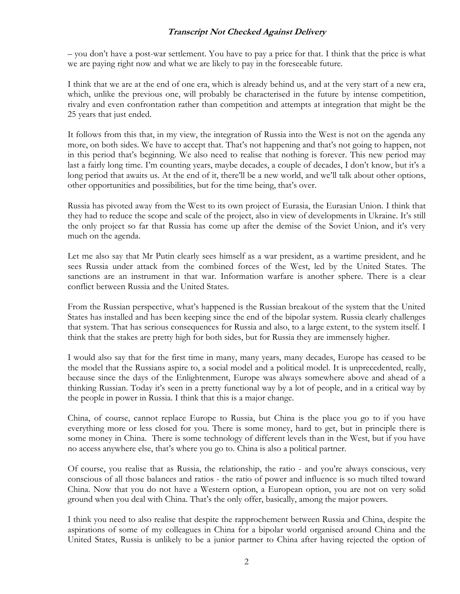– you don't have a post-war settlement. You have to pay a price for that. I think that the price is what we are paying right now and what we are likely to pay in the foreseeable future.

I think that we are at the end of one era, which is already behind us, and at the very start of a new era, which, unlike the previous one, will probably be characterised in the future by intense competition, rivalry and even confrontation rather than competition and attempts at integration that might be the 25 years that just ended.

It follows from this that, in my view, the integration of Russia into the West is not on the agenda any more, on both sides. We have to accept that. That's not happening and that's not going to happen, not in this period that's beginning. We also need to realise that nothing is forever. This new period may last a fairly long time. I'm counting years, maybe decades, a couple of decades, I don't know, but it's a long period that awaits us. At the end of it, there'll be a new world, and we'll talk about other options, other opportunities and possibilities, but for the time being, that's over.

Russia has pivoted away from the West to its own project of Eurasia, the Eurasian Union. I think that they had to reduce the scope and scale of the project, also in view of developments in Ukraine. It's still the only project so far that Russia has come up after the demise of the Soviet Union, and it's very much on the agenda.

Let me also say that Mr Putin clearly sees himself as a war president, as a wartime president, and he sees Russia under attack from the combined forces of the West, led by the United States. The sanctions are an instrument in that war. Information warfare is another sphere. There is a clear conflict between Russia and the United States.

From the Russian perspective, what's happened is the Russian breakout of the system that the United States has installed and has been keeping since the end of the bipolar system. Russia clearly challenges that system. That has serious consequences for Russia and also, to a large extent, to the system itself. I think that the stakes are pretty high for both sides, but for Russia they are immensely higher.

I would also say that for the first time in many, many years, many decades, Europe has ceased to be the model that the Russians aspire to, a social model and a political model. It is unprecedented, really, because since the days of the Enlightenment, Europe was always somewhere above and ahead of a thinking Russian. Today it's seen in a pretty functional way by a lot of people, and in a critical way by the people in power in Russia. I think that this is a major change.

China, of course, cannot replace Europe to Russia, but China is the place you go to if you have everything more or less closed for you. There is some money, hard to get, but in principle there is some money in China. There is some technology of different levels than in the West, but if you have no access anywhere else, that's where you go to. China is also a political partner.

Of course, you realise that as Russia, the relationship, the ratio - and you're always conscious, very conscious of all those balances and ratios - the ratio of power and influence is so much tilted toward China. Now that you do not have a Western option, a European option, you are not on very solid ground when you deal with China. That's the only offer, basically, among the major powers.

I think you need to also realise that despite the rapprochement between Russia and China, despite the aspirations of some of my colleagues in China for a bipolar world organised around China and the United States, Russia is unlikely to be a junior partner to China after having rejected the option of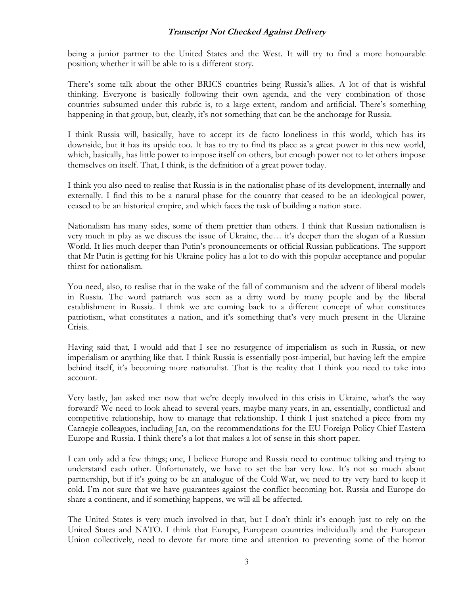being a junior partner to the United States and the West. It will try to find a more honourable position; whether it will be able to is a different story.

There's some talk about the other BRICS countries being Russia's allies. A lot of that is wishful thinking. Everyone is basically following their own agenda, and the very combination of those countries subsumed under this rubric is, to a large extent, random and artificial. There's something happening in that group, but, clearly, it's not something that can be the anchorage for Russia.

I think Russia will, basically, have to accept its de facto loneliness in this world, which has its downside, but it has its upside too. It has to try to find its place as a great power in this new world, which, basically, has little power to impose itself on others, but enough power not to let others impose themselves on itself. That, I think, is the definition of a great power today.

I think you also need to realise that Russia is in the nationalist phase of its development, internally and externally. I find this to be a natural phase for the country that ceased to be an ideological power, ceased to be an historical empire, and which faces the task of building a nation state.

Nationalism has many sides, some of them prettier than others. I think that Russian nationalism is very much in play as we discuss the issue of Ukraine, the… it's deeper than the slogan of a Russian World. It lies much deeper than Putin's pronouncements or official Russian publications. The support that Mr Putin is getting for his Ukraine policy has a lot to do with this popular acceptance and popular thirst for nationalism.

You need, also, to realise that in the wake of the fall of communism and the advent of liberal models in Russia. The word patriarch was seen as a dirty word by many people and by the liberal establishment in Russia. I think we are coming back to a different concept of what constitutes patriotism, what constitutes a nation, and it's something that's very much present in the Ukraine Crisis.

Having said that, I would add that I see no resurgence of imperialism as such in Russia, or new imperialism or anything like that. I think Russia is essentially post-imperial, but having left the empire behind itself, it's becoming more nationalist. That is the reality that I think you need to take into account.

Very lastly, Jan asked me: now that we're deeply involved in this crisis in Ukraine, what's the way forward? We need to look ahead to several years, maybe many years, in an, essentially, conflictual and competitive relationship, how to manage that relationship. I think I just snatched a piece from my Carnegie colleagues, including Jan, on the recommendations for the EU Foreign Policy Chief Eastern Europe and Russia. I think there's a lot that makes a lot of sense in this short paper.

I can only add a few things; one, I believe Europe and Russia need to continue talking and trying to understand each other. Unfortunately, we have to set the bar very low. It's not so much about partnership, but if it's going to be an analogue of the Cold War, we need to try very hard to keep it cold. I'm not sure that we have guarantees against the conflict becoming hot. Russia and Europe do share a continent, and if something happens, we will all be affected.

The United States is very much involved in that, but I don't think it's enough just to rely on the United States and NATO. I think that Europe, European countries individually and the European Union collectively, need to devote far more time and attention to preventing some of the horror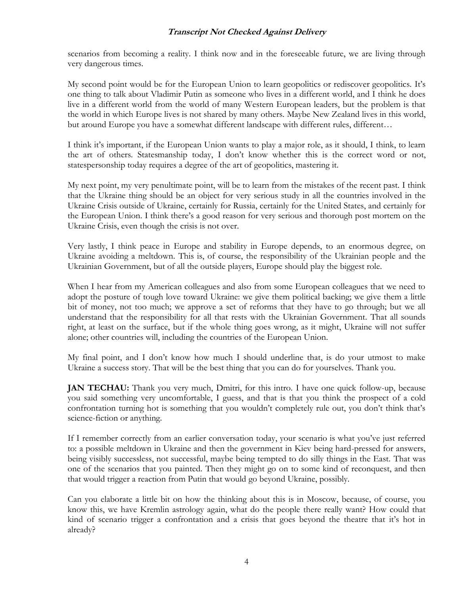scenarios from becoming a reality. I think now and in the foreseeable future, we are living through very dangerous times.

My second point would be for the European Union to learn geopolitics or rediscover geopolitics. It's one thing to talk about Vladimir Putin as someone who lives in a different world, and I think he does live in a different world from the world of many Western European leaders, but the problem is that the world in which Europe lives is not shared by many others. Maybe New Zealand lives in this world, but around Europe you have a somewhat different landscape with different rules, different…

I think it's important, if the European Union wants to play a major role, as it should, I think, to learn the art of others. Statesmanship today, I don't know whether this is the correct word or not, statespersonship today requires a degree of the art of geopolitics, mastering it.

My next point, my very penultimate point, will be to learn from the mistakes of the recent past. I think that the Ukraine thing should be an object for very serious study in all the countries involved in the Ukraine Crisis outside of Ukraine, certainly for Russia, certainly for the United States, and certainly for the European Union. I think there's a good reason for very serious and thorough post mortem on the Ukraine Crisis, even though the crisis is not over.

Very lastly, I think peace in Europe and stability in Europe depends, to an enormous degree, on Ukraine avoiding a meltdown. This is, of course, the responsibility of the Ukrainian people and the Ukrainian Government, but of all the outside players, Europe should play the biggest role.

When I hear from my American colleagues and also from some European colleagues that we need to adopt the posture of tough love toward Ukraine: we give them political backing; we give them a little bit of money, not too much; we approve a set of reforms that they have to go through; but we all understand that the responsibility for all that rests with the Ukrainian Government. That all sounds right, at least on the surface, but if the whole thing goes wrong, as it might, Ukraine will not suffer alone; other countries will, including the countries of the European Union.

My final point, and I don't know how much I should underline that, is do your utmost to make Ukraine a success story. That will be the best thing that you can do for yourselves. Thank you.

**JAN TECHAU:** Thank you very much, Dmitri, for this intro. I have one quick follow-up, because you said something very uncomfortable, I guess, and that is that you think the prospect of a cold confrontation turning hot is something that you wouldn't completely rule out, you don't think that's science-fiction or anything.

If I remember correctly from an earlier conversation today, your scenario is what you've just referred to: a possible meltdown in Ukraine and then the government in Kiev being hard-pressed for answers, being visibly successless, not successful, maybe being tempted to do silly things in the East. That was one of the scenarios that you painted. Then they might go on to some kind of reconquest, and then that would trigger a reaction from Putin that would go beyond Ukraine, possibly.

Can you elaborate a little bit on how the thinking about this is in Moscow, because, of course, you know this, we have Kremlin astrology again, what do the people there really want? How could that kind of scenario trigger a confrontation and a crisis that goes beyond the theatre that it's hot in already?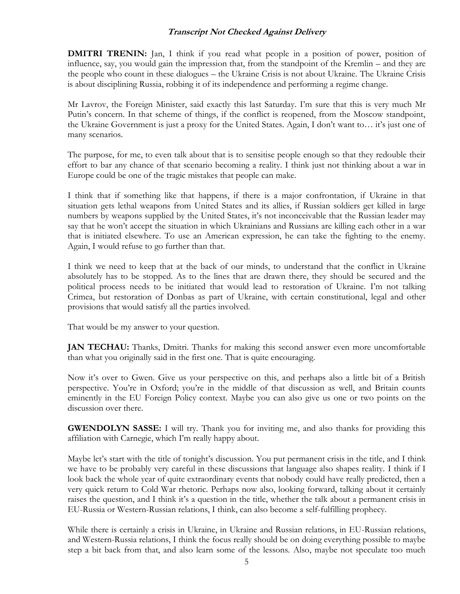**DMITRI TRENIN:** Jan, I think if you read what people in a position of power, position of influence, say, you would gain the impression that, from the standpoint of the Kremlin – and they are the people who count in these dialogues – the Ukraine Crisis is not about Ukraine. The Ukraine Crisis is about disciplining Russia, robbing it of its independence and performing a regime change.

Mr Lavrov, the Foreign Minister, said exactly this last Saturday. I'm sure that this is very much Mr Putin's concern. In that scheme of things, if the conflict is reopened, from the Moscow standpoint, the Ukraine Government is just a proxy for the United States. Again, I don't want to… it's just one of many scenarios.

The purpose, for me, to even talk about that is to sensitise people enough so that they redouble their effort to bar any chance of that scenario becoming a reality. I think just not thinking about a war in Europe could be one of the tragic mistakes that people can make.

I think that if something like that happens, if there is a major confrontation, if Ukraine in that situation gets lethal weapons from United States and its allies, if Russian soldiers get killed in large numbers by weapons supplied by the United States, it's not inconceivable that the Russian leader may say that he won't accept the situation in which Ukrainians and Russians are killing each other in a war that is initiated elsewhere. To use an American expression, he can take the fighting to the enemy. Again, I would refuse to go further than that.

I think we need to keep that at the back of our minds, to understand that the conflict in Ukraine absolutely has to be stopped. As to the lines that are drawn there, they should be secured and the political process needs to be initiated that would lead to restoration of Ukraine. I'm not talking Crimea, but restoration of Donbas as part of Ukraine, with certain constitutional, legal and other provisions that would satisfy all the parties involved.

That would be my answer to your question.

**JAN TECHAU:** Thanks, Dmitri. Thanks for making this second answer even more uncomfortable than what you originally said in the first one. That is quite encouraging.

Now it's over to Gwen. Give us your perspective on this, and perhaps also a little bit of a British perspective. You're in Oxford; you're in the middle of that discussion as well, and Britain counts eminently in the EU Foreign Policy context. Maybe you can also give us one or two points on the discussion over there.

**GWENDOLYN SASSE:** I will try. Thank you for inviting me, and also thanks for providing this affiliation with Carnegie, which I'm really happy about.

Maybe let's start with the title of tonight's discussion. You put permanent crisis in the title, and I think we have to be probably very careful in these discussions that language also shapes reality. I think if I look back the whole year of quite extraordinary events that nobody could have really predicted, then a very quick return to Cold War rhetoric. Perhaps now also, looking forward, talking about it certainly raises the question, and I think it's a question in the title, whether the talk about a permanent crisis in EU-Russia or Western-Russian relations, I think, can also become a self-fulfilling prophecy.

While there is certainly a crisis in Ukraine, in Ukraine and Russian relations, in EU-Russian relations, and Western-Russia relations, I think the focus really should be on doing everything possible to maybe step a bit back from that, and also learn some of the lessons. Also, maybe not speculate too much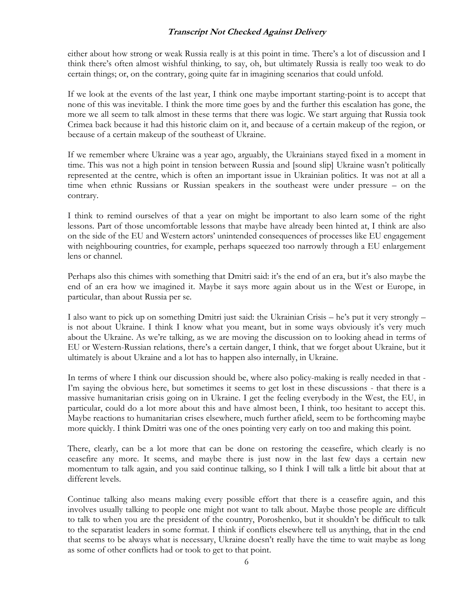either about how strong or weak Russia really is at this point in time. There's a lot of discussion and I think there's often almost wishful thinking, to say, oh, but ultimately Russia is really too weak to do certain things; or, on the contrary, going quite far in imagining scenarios that could unfold.

If we look at the events of the last year, I think one maybe important starting-point is to accept that none of this was inevitable. I think the more time goes by and the further this escalation has gone, the more we all seem to talk almost in these terms that there was logic. We start arguing that Russia took Crimea back because it had this historic claim on it, and because of a certain makeup of the region, or because of a certain makeup of the southeast of Ukraine.

If we remember where Ukraine was a year ago, arguably, the Ukrainians stayed fixed in a moment in time. This was not a high point in tension between Russia and [sound slip] Ukraine wasn't politically represented at the centre, which is often an important issue in Ukrainian politics. It was not at all a time when ethnic Russians or Russian speakers in the southeast were under pressure – on the contrary.

I think to remind ourselves of that a year on might be important to also learn some of the right lessons. Part of those uncomfortable lessons that maybe have already been hinted at, I think are also on the side of the EU and Western actors' unintended consequences of processes like EU engagement with neighbouring countries, for example, perhaps squeezed too narrowly through a EU enlargement lens or channel.

Perhaps also this chimes with something that Dmitri said: it's the end of an era, but it's also maybe the end of an era how we imagined it. Maybe it says more again about us in the West or Europe, in particular, than about Russia per se.

I also want to pick up on something Dmitri just said: the Ukrainian Crisis – he's put it very strongly – is not about Ukraine. I think I know what you meant, but in some ways obviously it's very much about the Ukraine. As we're talking, as we are moving the discussion on to looking ahead in terms of EU or Western-Russian relations, there's a certain danger, I think, that we forget about Ukraine, but it ultimately is about Ukraine and a lot has to happen also internally, in Ukraine.

In terms of where I think our discussion should be, where also policy-making is really needed in that - I'm saying the obvious here, but sometimes it seems to get lost in these discussions - that there is a massive humanitarian crisis going on in Ukraine. I get the feeling everybody in the West, the EU, in particular, could do a lot more about this and have almost been, I think, too hesitant to accept this. Maybe reactions to humanitarian crises elsewhere, much further afield, seem to be forthcoming maybe more quickly. I think Dmitri was one of the ones pointing very early on too and making this point.

There, clearly, can be a lot more that can be done on restoring the ceasefire, which clearly is no ceasefire any more. It seems, and maybe there is just now in the last few days a certain new momentum to talk again, and you said continue talking, so I think I will talk a little bit about that at different levels.

Continue talking also means making every possible effort that there is a ceasefire again, and this involves usually talking to people one might not want to talk about. Maybe those people are difficult to talk to when you are the president of the country, Poroshenko, but it shouldn't be difficult to talk to the separatist leaders in some format. I think if conflicts elsewhere tell us anything, that in the end that seems to be always what is necessary, Ukraine doesn't really have the time to wait maybe as long as some of other conflicts had or took to get to that point.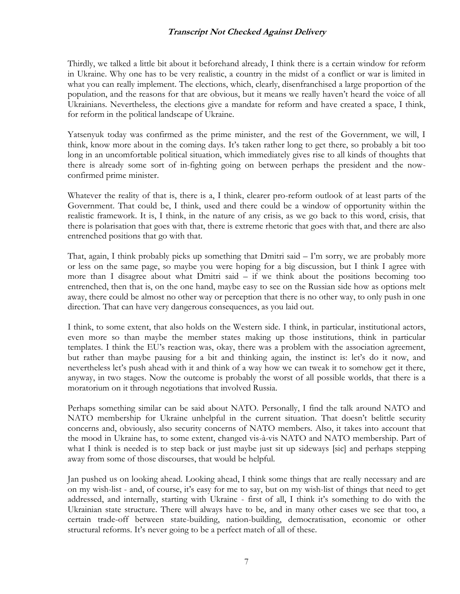Thirdly, we talked a little bit about it beforehand already, I think there is a certain window for reform in Ukraine. Why one has to be very realistic, a country in the midst of a conflict or war is limited in what you can really implement. The elections, which, clearly, disenfranchised a large proportion of the population, and the reasons for that are obvious, but it means we really haven't heard the voice of all Ukrainians. Nevertheless, the elections give a mandate for reform and have created a space, I think, for reform in the political landscape of Ukraine.

Yatsenyuk today was confirmed as the prime minister, and the rest of the Government, we will, I think, know more about in the coming days. It's taken rather long to get there, so probably a bit too long in an uncomfortable political situation, which immediately gives rise to all kinds of thoughts that there is already some sort of in-fighting going on between perhaps the president and the nowconfirmed prime minister.

Whatever the reality of that is, there is a, I think, clearer pro-reform outlook of at least parts of the Government. That could be, I think, used and there could be a window of opportunity within the realistic framework. It is, I think, in the nature of any crisis, as we go back to this word, crisis, that there is polarisation that goes with that, there is extreme rhetoric that goes with that, and there are also entrenched positions that go with that.

That, again, I think probably picks up something that Dmitri said – I'm sorry, we are probably more or less on the same page, so maybe you were hoping for a big discussion, but I think I agree with more than I disagree about what Dmitri said – if we think about the positions becoming too entrenched, then that is, on the one hand, maybe easy to see on the Russian side how as options melt away, there could be almost no other way or perception that there is no other way, to only push in one direction. That can have very dangerous consequences, as you laid out.

I think, to some extent, that also holds on the Western side. I think, in particular, institutional actors, even more so than maybe the member states making up those institutions, think in particular templates. I think the EU's reaction was, okay, there was a problem with the association agreement, but rather than maybe pausing for a bit and thinking again, the instinct is: let's do it now, and nevertheless let's push ahead with it and think of a way how we can tweak it to somehow get it there, anyway, in two stages. Now the outcome is probably the worst of all possible worlds, that there is a moratorium on it through negotiations that involved Russia.

Perhaps something similar can be said about NATO. Personally, I find the talk around NATO and NATO membership for Ukraine unhelpful in the current situation. That doesn't belittle security concerns and, obviously, also security concerns of NATO members. Also, it takes into account that the mood in Ukraine has, to some extent, changed vis-à-vis NATO and NATO membership. Part of what I think is needed is to step back or just maybe just sit up sideways [sic] and perhaps stepping away from some of those discourses, that would be helpful.

Jan pushed us on looking ahead. Looking ahead, I think some things that are really necessary and are on my wish-list - and, of course, it's easy for me to say, but on my wish-list of things that need to get addressed, and internally, starting with Ukraine - first of all, I think it's something to do with the Ukrainian state structure. There will always have to be, and in many other cases we see that too, a certain trade-off between state-building, nation-building, democratisation, economic or other structural reforms. It's never going to be a perfect match of all of these.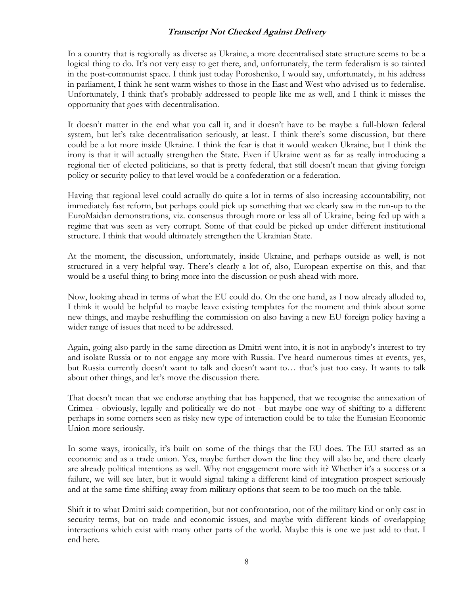In a country that is regionally as diverse as Ukraine, a more decentralised state structure seems to be a logical thing to do. It's not very easy to get there, and, unfortunately, the term federalism is so tainted in the post-communist space. I think just today Poroshenko, I would say, unfortunately, in his address in parliament, I think he sent warm wishes to those in the East and West who advised us to federalise. Unfortunately, I think that's probably addressed to people like me as well, and I think it misses the opportunity that goes with decentralisation.

It doesn't matter in the end what you call it, and it doesn't have to be maybe a full-blown federal system, but let's take decentralisation seriously, at least. I think there's some discussion, but there could be a lot more inside Ukraine. I think the fear is that it would weaken Ukraine, but I think the irony is that it will actually strengthen the State. Even if Ukraine went as far as really introducing a regional tier of elected politicians, so that is pretty federal, that still doesn't mean that giving foreign policy or security policy to that level would be a confederation or a federation.

Having that regional level could actually do quite a lot in terms of also increasing accountability, not immediately fast reform, but perhaps could pick up something that we clearly saw in the run-up to the EuroMaidan demonstrations, viz. consensus through more or less all of Ukraine, being fed up with a regime that was seen as very corrupt. Some of that could be picked up under different institutional structure. I think that would ultimately strengthen the Ukrainian State.

At the moment, the discussion, unfortunately, inside Ukraine, and perhaps outside as well, is not structured in a very helpful way. There's clearly a lot of, also, European expertise on this, and that would be a useful thing to bring more into the discussion or push ahead with more.

Now, looking ahead in terms of what the EU could do. On the one hand, as I now already alluded to, I think it would be helpful to maybe leave existing templates for the moment and think about some new things, and maybe reshuffling the commission on also having a new EU foreign policy having a wider range of issues that need to be addressed.

Again, going also partly in the same direction as Dmitri went into, it is not in anybody's interest to try and isolate Russia or to not engage any more with Russia. I've heard numerous times at events, yes, but Russia currently doesn't want to talk and doesn't want to… that's just too easy. It wants to talk about other things, and let's move the discussion there.

That doesn't mean that we endorse anything that has happened, that we recognise the annexation of Crimea - obviously, legally and politically we do not - but maybe one way of shifting to a different perhaps in some corners seen as risky new type of interaction could be to take the Eurasian Economic Union more seriously.

In some ways, ironically, it's built on some of the things that the EU does. The EU started as an economic and as a trade union. Yes, maybe further down the line they will also be, and there clearly are already political intentions as well. Why not engagement more with it? Whether it's a success or a failure, we will see later, but it would signal taking a different kind of integration prospect seriously and at the same time shifting away from military options that seem to be too much on the table.

Shift it to what Dmitri said: competition, but not confrontation, not of the military kind or only cast in security terms, but on trade and economic issues, and maybe with different kinds of overlapping interactions which exist with many other parts of the world. Maybe this is one we just add to that. I end here.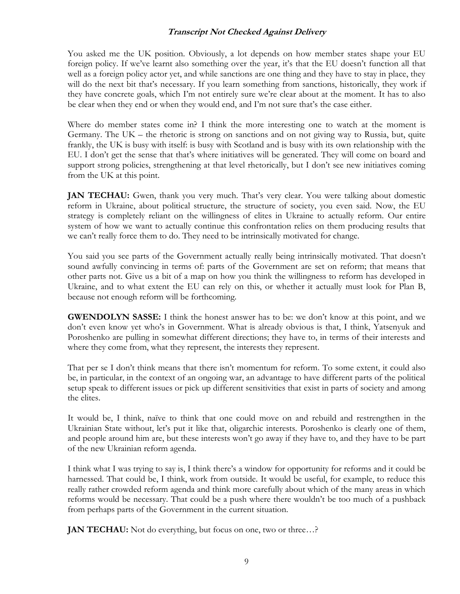You asked me the UK position. Obviously, a lot depends on how member states shape your EU foreign policy. If we've learnt also something over the year, it's that the EU doesn't function all that well as a foreign policy actor yet, and while sanctions are one thing and they have to stay in place, they will do the next bit that's necessary. If you learn something from sanctions, historically, they work if they have concrete goals, which I'm not entirely sure we're clear about at the moment. It has to also be clear when they end or when they would end, and I'm not sure that's the case either.

Where do member states come in? I think the more interesting one to watch at the moment is Germany. The UK – the rhetoric is strong on sanctions and on not giving way to Russia, but, quite frankly, the UK is busy with itself: is busy with Scotland and is busy with its own relationship with the EU. I don't get the sense that that's where initiatives will be generated. They will come on board and support strong policies, strengthening at that level rhetorically, but I don't see new initiatives coming from the UK at this point.

**JAN TECHAU:** Gwen, thank you very much. That's very clear. You were talking about domestic reform in Ukraine, about political structure, the structure of society, you even said. Now, the EU strategy is completely reliant on the willingness of elites in Ukraine to actually reform. Our entire system of how we want to actually continue this confrontation relies on them producing results that we can't really force them to do. They need to be intrinsically motivated for change.

You said you see parts of the Government actually really being intrinsically motivated. That doesn't sound awfully convincing in terms of: parts of the Government are set on reform; that means that other parts not. Give us a bit of a map on how you think the willingness to reform has developed in Ukraine, and to what extent the EU can rely on this, or whether it actually must look for Plan B, because not enough reform will be forthcoming.

**GWENDOLYN SASSE:** I think the honest answer has to be: we don't know at this point, and we don't even know yet who's in Government. What is already obvious is that, I think, Yatsenyuk and Poroshenko are pulling in somewhat different directions; they have to, in terms of their interests and where they come from, what they represent, the interests they represent.

That per se I don't think means that there isn't momentum for reform. To some extent, it could also be, in particular, in the context of an ongoing war, an advantage to have different parts of the political setup speak to different issues or pick up different sensitivities that exist in parts of society and among the elites.

It would be, I think, naïve to think that one could move on and rebuild and restrengthen in the Ukrainian State without, let's put it like that, oligarchic interests. Poroshenko is clearly one of them, and people around him are, but these interests won't go away if they have to, and they have to be part of the new Ukrainian reform agenda.

I think what I was trying to say is, I think there's a window for opportunity for reforms and it could be harnessed. That could be, I think, work from outside. It would be useful, for example, to reduce this really rather crowded reform agenda and think more carefully about which of the many areas in which reforms would be necessary. That could be a push where there wouldn't be too much of a pushback from perhaps parts of the Government in the current situation.

**JAN TECHAU:** Not do everything, but focus on one, two or three...?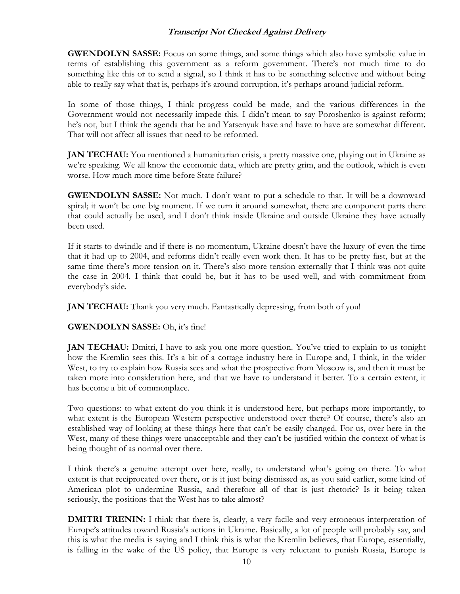**GWENDOLYN SASSE:** Focus on some things, and some things which also have symbolic value in terms of establishing this government as a reform government. There's not much time to do something like this or to send a signal, so I think it has to be something selective and without being able to really say what that is, perhaps it's around corruption, it's perhaps around judicial reform.

In some of those things, I think progress could be made, and the various differences in the Government would not necessarily impede this. I didn't mean to say Poroshenko is against reform; he's not, but I think the agenda that he and Yatsenyuk have and have to have are somewhat different. That will not affect all issues that need to be reformed.

**JAN TECHAU:** You mentioned a humanitarian crisis, a pretty massive one, playing out in Ukraine as we're speaking. We all know the economic data, which are pretty grim, and the outlook, which is even worse. How much more time before State failure?

**GWENDOLYN SASSE:** Not much. I don't want to put a schedule to that. It will be a downward spiral; it won't be one big moment. If we turn it around somewhat, there are component parts there that could actually be used, and I don't think inside Ukraine and outside Ukraine they have actually been used.

If it starts to dwindle and if there is no momentum, Ukraine doesn't have the luxury of even the time that it had up to 2004, and reforms didn't really even work then. It has to be pretty fast, but at the same time there's more tension on it. There's also more tension externally that I think was not quite the case in 2004. I think that could be, but it has to be used well, and with commitment from everybody's side.

**JAN TECHAU:** Thank you very much. Fantastically depressing, from both of you!

#### **GWENDOLYN SASSE:** Oh, it's fine!

**JAN TECHAU:** Dmitri, I have to ask you one more question. You've tried to explain to us tonight how the Kremlin sees this. It's a bit of a cottage industry here in Europe and, I think, in the wider West, to try to explain how Russia sees and what the prospective from Moscow is, and then it must be taken more into consideration here, and that we have to understand it better. To a certain extent, it has become a bit of commonplace.

Two questions: to what extent do you think it is understood here, but perhaps more importantly, to what extent is the European Western perspective understood over there? Of course, there's also an established way of looking at these things here that can't be easily changed. For us, over here in the West, many of these things were unacceptable and they can't be justified within the context of what is being thought of as normal over there.

I think there's a genuine attempt over here, really, to understand what's going on there. To what extent is that reciprocated over there, or is it just being dismissed as, as you said earlier, some kind of American plot to undermine Russia, and therefore all of that is just rhetoric? Is it being taken seriously, the positions that the West has to take almost?

**DMITRI TRENIN:** I think that there is, clearly, a very facile and very erroneous interpretation of Europe's attitudes toward Russia's actions in Ukraine. Basically, a lot of people will probably say, and this is what the media is saying and I think this is what the Kremlin believes, that Europe, essentially, is falling in the wake of the US policy, that Europe is very reluctant to punish Russia, Europe is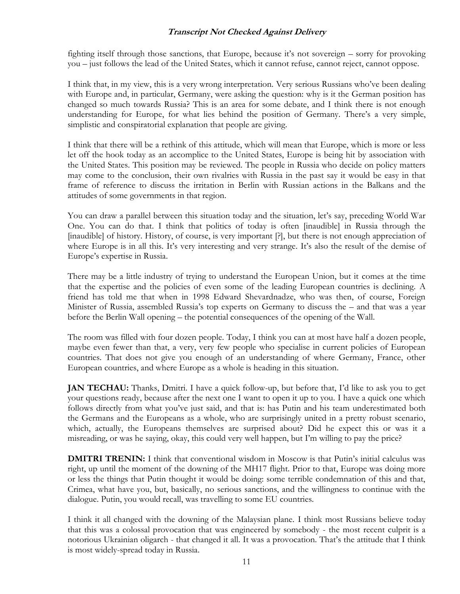fighting itself through those sanctions, that Europe, because it's not sovereign – sorry for provoking you – just follows the lead of the United States, which it cannot refuse, cannot reject, cannot oppose.

I think that, in my view, this is a very wrong interpretation. Very serious Russians who've been dealing with Europe and, in particular, Germany, were asking the question: why is it the German position has changed so much towards Russia? This is an area for some debate, and I think there is not enough understanding for Europe, for what lies behind the position of Germany. There's a very simple, simplistic and conspiratorial explanation that people are giving.

I think that there will be a rethink of this attitude, which will mean that Europe, which is more or less let off the hook today as an accomplice to the United States, Europe is being hit by association with the United States. This position may be reviewed. The people in Russia who decide on policy matters may come to the conclusion, their own rivalries with Russia in the past say it would be easy in that frame of reference to discuss the irritation in Berlin with Russian actions in the Balkans and the attitudes of some governments in that region.

You can draw a parallel between this situation today and the situation, let's say, preceding World War One. You can do that. I think that politics of today is often [inaudible] in Russia through the [inaudible] of history. History, of course, is very important [?], but there is not enough appreciation of where Europe is in all this. It's very interesting and very strange. It's also the result of the demise of Europe's expertise in Russia.

There may be a little industry of trying to understand the European Union, but it comes at the time that the expertise and the policies of even some of the leading European countries is declining. A friend has told me that when in 1998 Edward Shevardnadze, who was then, of course, Foreign Minister of Russia, assembled Russia's top experts on Germany to discuss the – and that was a year before the Berlin Wall opening – the potential consequences of the opening of the Wall.

The room was filled with four dozen people. Today, I think you can at most have half a dozen people, maybe even fewer than that, a very, very few people who specialise in current policies of European countries. That does not give you enough of an understanding of where Germany, France, other European countries, and where Europe as a whole is heading in this situation.

**JAN TECHAU:** Thanks, Dmitri. I have a quick follow-up, but before that, I'd like to ask you to get your questions ready, because after the next one I want to open it up to you. I have a quick one which follows directly from what you've just said, and that is: has Putin and his team underestimated both the Germans and the Europeans as a whole, who are surprisingly united in a pretty robust scenario, which, actually, the Europeans themselves are surprised about? Did he expect this or was it a misreading, or was he saying, okay, this could very well happen, but I'm willing to pay the price?

**DMITRI TRENIN:** I think that conventional wisdom in Moscow is that Putin's initial calculus was right, up until the moment of the downing of the MH17 flight. Prior to that, Europe was doing more or less the things that Putin thought it would be doing: some terrible condemnation of this and that, Crimea, what have you, but, basically, no serious sanctions, and the willingness to continue with the dialogue. Putin, you would recall, was travelling to some EU countries.

I think it all changed with the downing of the Malaysian plane. I think most Russians believe today that this was a colossal provocation that was engineered by somebody - the most recent culprit is a notorious Ukrainian oligarch - that changed it all. It was a provocation. That's the attitude that I think is most widely-spread today in Russia.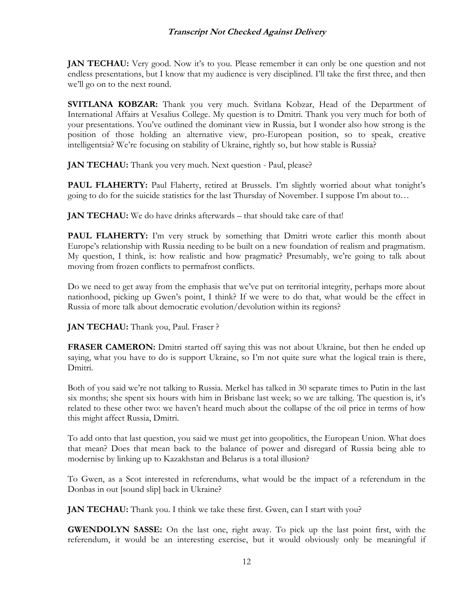**JAN TECHAU:** Very good. Now it's to you. Please remember it can only be one question and not endless presentations, but I know that my audience is very disciplined. I'll take the first three, and then we'll go on to the next round.

**SVITLANA KOBZAR:** Thank you very much. Svitlana Kobzar, Head of the Department of International Affairs at Vesalius College. My question is to Dmitri. Thank you very much for both of your presentations. You've outlined the dominant view in Russia, but I wonder also how strong is the position of those holding an alternative view, pro-European position, so to speak, creative intelligentsia? We're focusing on stability of Ukraine, rightly so, but how stable is Russia?

**JAN TECHAU:** Thank you very much. Next question - Paul, please?

PAUL FLAHERTY: Paul Flaherty, retired at Brussels. I'm slightly worried about what tonight's going to do for the suicide statistics for the last Thursday of November. I suppose I'm about to…

**JAN TECHAU:** We do have drinks afterwards – that should take care of that!

**PAUL FLAHERTY:** I'm very struck by something that Dmitri wrote earlier this month about Europe's relationship with Russia needing to be built on a new foundation of realism and pragmatism. My question, I think, is: how realistic and how pragmatic? Presumably, we're going to talk about moving from frozen conflicts to permafrost conflicts.

Do we need to get away from the emphasis that we've put on territorial integrity, perhaps more about nationhood, picking up Gwen's point, I think? If we were to do that, what would be the effect in Russia of more talk about democratic evolution/devolution within its regions?

**JAN TECHAU:** Thank you, Paul. Fraser ?

**FRASER CAMERON:** Dmitri started off saying this was not about Ukraine, but then he ended up saying, what you have to do is support Ukraine, so I'm not quite sure what the logical train is there, Dmitri.

Both of you said we're not talking to Russia. Merkel has talked in 30 separate times to Putin in the last six months; she spent six hours with him in Brisbane last week; so we are talking. The question is, it's related to these other two: we haven't heard much about the collapse of the oil price in terms of how this might affect Russia, Dmitri.

To add onto that last question, you said we must get into geopolitics, the European Union. What does that mean? Does that mean back to the balance of power and disregard of Russia being able to modernise by linking up to Kazakhstan and Belarus is a total illusion?

To Gwen, as a Scot interested in referendums, what would be the impact of a referendum in the Donbas in out [sound slip] back in Ukraine?

**JAN TECHAU:** Thank you. I think we take these first. Gwen, can I start with you?

**GWENDOLYN SASSE:** On the last one, right away. To pick up the last point first, with the referendum, it would be an interesting exercise, but it would obviously only be meaningful if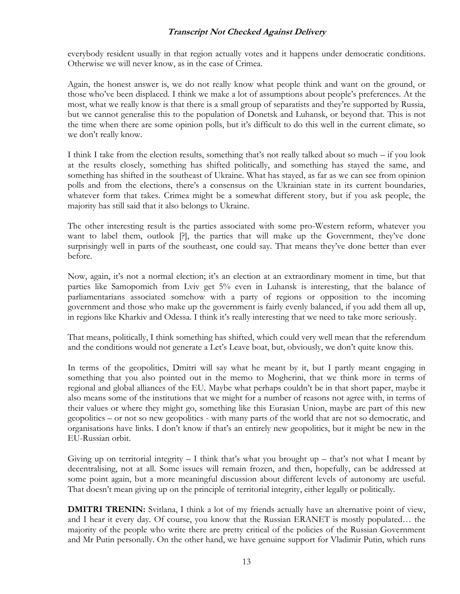everybody resident usually in that region actually votes and it happens under democratic conditions. Otherwise we will never know, as in the case of Crimea.

Again, the honest answer is, we do not really know what people think and want on the ground, or those who've been displaced. I think we make a lot of assumptions about people's preferences. At the most, what we really know is that there is a small group of separatists and they're supported by Russia, but we cannot generalise this to the population of Donetsk and Luhansk, or beyond that. This is not the time when there are some opinion polls, but it's difficult to do this well in the current climate, so we don't really know.

I think I take from the election results, something that's not really talked about so much – if you look at the results closely, something has shifted politically, and something has stayed the same, and something has shifted in the southeast of Ukraine. What has stayed, as far as we can see from opinion polls and from the elections, there's a consensus on the Ukrainian state in its current boundaries, whatever form that takes. Crimea might be a somewhat different story, but if you ask people, the majority has still said that it also belongs to Ukraine.

The other interesting result is the parties associated with some pro-Western reform, whatever you want to label them, outlook [?], the parties that will make up the Government, they've done surprisingly well in parts of the southeast, one could say. That means they've done better than ever before.

Now, again, it's not a normal election; it's an election at an extraordinary moment in time, but that parties like Samopomich from Lviv get 5% even in Luhansk is interesting, that the balance of parliamentarians associated somehow with a party of regions or opposition to the incoming government and those who make up the government is fairly evenly balanced, if you add them all up, in regions like Kharkiv and Odessa. I think it's really interesting that we need to take more seriously.

That means, politically, I think something has shifted, which could very well mean that the referendum and the conditions would not generate a Let's Leave boat, but, obviously, we don't quite know this.

In terms of the geopolitics, Dmitri will say what he meant by it, but I partly meant engaging in something that you also pointed out in the memo to Mogherini, that we think more in terms of regional and global alliances of the EU. Maybe what perhaps couldn't be in that short paper, maybe it also means some of the institutions that we might for a number of reasons not agree with, in terms of their values or where they might go, something like this Eurasian Union, maybe are part of this new geopolitics – or not so new geopolitics - with many parts of the world that are not so democratic, and organisations have links. I don't know if that's an entirely new geopolitics, but it might be new in the EU-Russian orbit.

Giving up on territorial integrity  $-$  I think that's what you brought up  $-$  that's not what I meant by decentralising, not at all. Some issues will remain frozen, and then, hopefully, can be addressed at some point again, but a more meaningful discussion about different levels of autonomy are useful. That doesn't mean giving up on the principle of territorial integrity, either legally or politically.

**DMITRI TRENIN:** Svitlana, I think a lot of my friends actually have an alternative point of view, and I hear it every day. Of course, you know that the Russian ERANET is mostly populated… the majority of the people who write there are pretty critical of the policies of the Russian Government and Mr Putin personally. On the other hand, we have genuine support for Vladimir Putin, which runs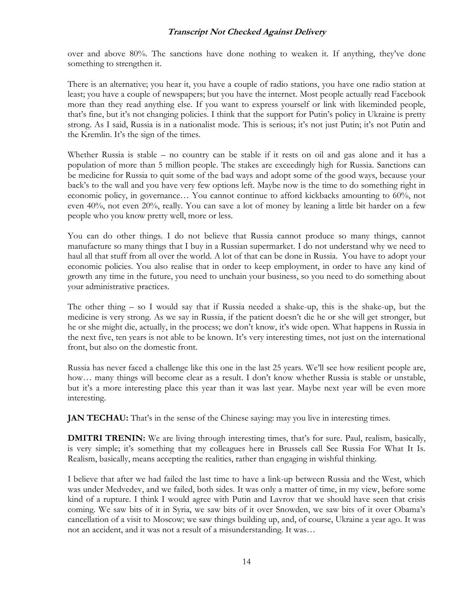over and above 80%. The sanctions have done nothing to weaken it. If anything, they've done something to strengthen it.

There is an alternative; you hear it, you have a couple of radio stations, you have one radio station at least; you have a couple of newspapers; but you have the internet. Most people actually read Facebook more than they read anything else. If you want to express yourself or link with likeminded people, that's fine, but it's not changing policies. I think that the support for Putin's policy in Ukraine is pretty strong. As I said, Russia is in a nationalist mode. This is serious; it's not just Putin; it's not Putin and the Kremlin. It's the sign of the times.

Whether Russia is stable – no country can be stable if it rests on oil and gas alone and it has a population of more than 5 million people. The stakes are exceedingly high for Russia. Sanctions can be medicine for Russia to quit some of the bad ways and adopt some of the good ways, because your back's to the wall and you have very few options left. Maybe now is the time to do something right in economic policy, in governance… You cannot continue to afford kickbacks amounting to 60%, not even 40%, not even 20%, really. You can save a lot of money by leaning a little bit harder on a few people who you know pretty well, more or less.

You can do other things. I do not believe that Russia cannot produce so many things, cannot manufacture so many things that I buy in a Russian supermarket. I do not understand why we need to haul all that stuff from all over the world. A lot of that can be done in Russia. You have to adopt your economic policies. You also realise that in order to keep employment, in order to have any kind of growth any time in the future, you need to unchain your business, so you need to do something about your administrative practices.

The other thing – so I would say that if Russia needed a shake-up, this is the shake-up, but the medicine is very strong. As we say in Russia, if the patient doesn't die he or she will get stronger, but he or she might die, actually, in the process; we don't know, it's wide open. What happens in Russia in the next five, ten years is not able to be known. It's very interesting times, not just on the international front, but also on the domestic front.

Russia has never faced a challenge like this one in the last 25 years. We'll see how resilient people are, how... many things will become clear as a result. I don't know whether Russia is stable or unstable, but it's a more interesting place this year than it was last year. Maybe next year will be even more interesting.

**JAN TECHAU:** That's in the sense of the Chinese saying: may you live in interesting times.

**DMITRI TRENIN:** We are living through interesting times, that's for sure. Paul, realism, basically, is very simple; it's something that my colleagues here in Brussels call See Russia For What It Is. Realism, basically, means accepting the realities, rather than engaging in wishful thinking.

I believe that after we had failed the last time to have a link-up between Russia and the West, which was under Medvedev, and we failed, both sides. It was only a matter of time, in my view, before some kind of a rupture. I think I would agree with Putin and Lavrov that we should have seen that crisis coming. We saw bits of it in Syria, we saw bits of it over Snowden, we saw bits of it over Obama's cancellation of a visit to Moscow; we saw things building up, and, of course, Ukraine a year ago. It was not an accident, and it was not a result of a misunderstanding. It was…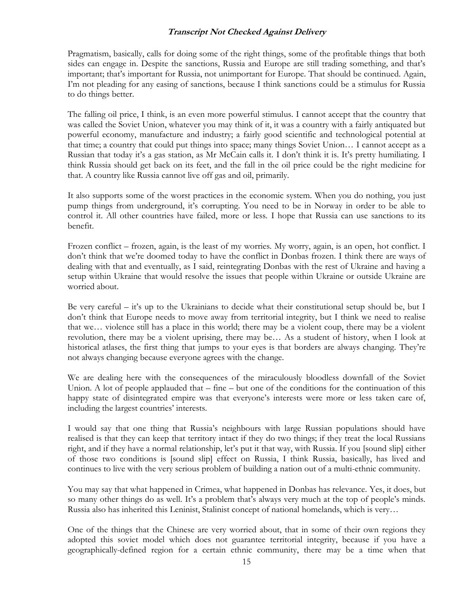Pragmatism, basically, calls for doing some of the right things, some of the profitable things that both sides can engage in. Despite the sanctions, Russia and Europe are still trading something, and that's important; that's important for Russia, not unimportant for Europe. That should be continued. Again, I'm not pleading for any easing of sanctions, because I think sanctions could be a stimulus for Russia to do things better.

The falling oil price, I think, is an even more powerful stimulus. I cannot accept that the country that was called the Soviet Union, whatever you may think of it, it was a country with a fairly antiquated but powerful economy, manufacture and industry; a fairly good scientific and technological potential at that time; a country that could put things into space; many things Soviet Union… I cannot accept as a Russian that today it's a gas station, as Mr McCain calls it. I don't think it is. It's pretty humiliating. I think Russia should get back on its feet, and the fall in the oil price could be the right medicine for that. A country like Russia cannot live off gas and oil, primarily.

It also supports some of the worst practices in the economic system. When you do nothing, you just pump things from underground, it's corrupting. You need to be in Norway in order to be able to control it. All other countries have failed, more or less. I hope that Russia can use sanctions to its benefit.

Frozen conflict – frozen, again, is the least of my worries. My worry, again, is an open, hot conflict. I don't think that we're doomed today to have the conflict in Donbas frozen. I think there are ways of dealing with that and eventually, as I said, reintegrating Donbas with the rest of Ukraine and having a setup within Ukraine that would resolve the issues that people within Ukraine or outside Ukraine are worried about.

Be very careful – it's up to the Ukrainians to decide what their constitutional setup should be, but I don't think that Europe needs to move away from territorial integrity, but I think we need to realise that we… violence still has a place in this world; there may be a violent coup, there may be a violent revolution, there may be a violent uprising, there may be… As a student of history, when I look at historical atlases, the first thing that jumps to your eyes is that borders are always changing. They're not always changing because everyone agrees with the change.

We are dealing here with the consequences of the miraculously bloodless downfall of the Soviet Union. A lot of people applauded that – fine – but one of the conditions for the continuation of this happy state of disintegrated empire was that everyone's interests were more or less taken care of, including the largest countries' interests.

I would say that one thing that Russia's neighbours with large Russian populations should have realised is that they can keep that territory intact if they do two things; if they treat the local Russians right, and if they have a normal relationship, let's put it that way, with Russia. If you [sound slip] either of those two conditions is [sound slip] effect on Russia, I think Russia, basically, has lived and continues to live with the very serious problem of building a nation out of a multi-ethnic community.

You may say that what happened in Crimea, what happened in Donbas has relevance. Yes, it does, but so many other things do as well. It's a problem that's always very much at the top of people's minds. Russia also has inherited this Leninist, Stalinist concept of national homelands, which is very…

One of the things that the Chinese are very worried about, that in some of their own regions they adopted this soviet model which does not guarantee territorial integrity, because if you have a geographically-defined region for a certain ethnic community, there may be a time when that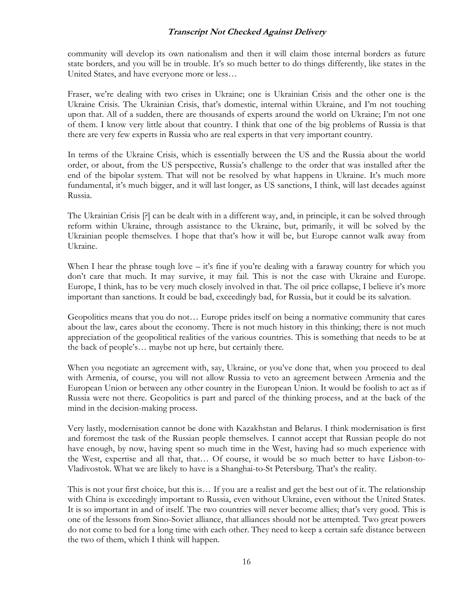community will develop its own nationalism and then it will claim those internal borders as future state borders, and you will be in trouble. It's so much better to do things differently, like states in the United States, and have everyone more or less…

Fraser, we're dealing with two crises in Ukraine; one is Ukrainian Crisis and the other one is the Ukraine Crisis. The Ukrainian Crisis, that's domestic, internal within Ukraine, and I'm not touching upon that. All of a sudden, there are thousands of experts around the world on Ukraine; I'm not one of them. I know very little about that country. I think that one of the big problems of Russia is that there are very few experts in Russia who are real experts in that very important country.

In terms of the Ukraine Crisis, which is essentially between the US and the Russia about the world order, or about, from the US perspective, Russia's challenge to the order that was installed after the end of the bipolar system. That will not be resolved by what happens in Ukraine. It's much more fundamental, it's much bigger, and it will last longer, as US sanctions, I think, will last decades against Russia.

The Ukrainian Crisis [?] can be dealt with in a different way, and, in principle, it can be solved through reform within Ukraine, through assistance to the Ukraine, but, primarily, it will be solved by the Ukrainian people themselves. I hope that that's how it will be, but Europe cannot walk away from Ukraine.

When I hear the phrase tough love – it's fine if you're dealing with a faraway country for which you don't care that much. It may survive, it may fail. This is not the case with Ukraine and Europe. Europe, I think, has to be very much closely involved in that. The oil price collapse, I believe it's more important than sanctions. It could be bad, exceedingly bad, for Russia, but it could be its salvation.

Geopolitics means that you do not… Europe prides itself on being a normative community that cares about the law, cares about the economy. There is not much history in this thinking; there is not much appreciation of the geopolitical realities of the various countries. This is something that needs to be at the back of people's… maybe not up here, but certainly there.

When you negotiate an agreement with, say, Ukraine, or you've done that, when you proceed to deal with Armenia, of course, you will not allow Russia to veto an agreement between Armenia and the European Union or between any other country in the European Union. It would be foolish to act as if Russia were not there. Geopolitics is part and parcel of the thinking process, and at the back of the mind in the decision-making process.

Very lastly, modernisation cannot be done with Kazakhstan and Belarus. I think modernisation is first and foremost the task of the Russian people themselves. I cannot accept that Russian people do not have enough, by now, having spent so much time in the West, having had so much experience with the West, expertise and all that, that… Of course, it would be so much better to have Lisbon-to-Vladivostok. What we are likely to have is a Shanghai-to-St Petersburg. That's the reality.

This is not your first choice, but this is… If you are a realist and get the best out of it. The relationship with China is exceedingly important to Russia, even without Ukraine, even without the United States. It is so important in and of itself. The two countries will never become allies; that's very good. This is one of the lessons from Sino-Soviet alliance, that alliances should not be attempted. Two great powers do not come to bed for a long time with each other. They need to keep a certain safe distance between the two of them, which I think will happen.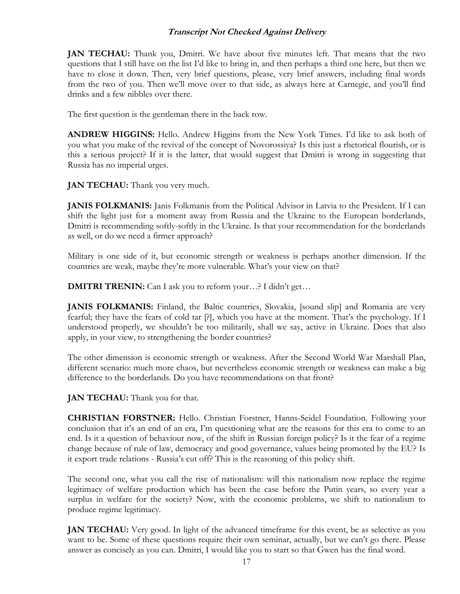**JAN TECHAU:** Thank you, Dmitri. We have about five minutes left. That means that the two questions that I still have on the list I'd like to bring in, and then perhaps a third one here, but then we have to close it down. Then, very brief questions, please, very brief answers, including final words from the two of you. Then we'll move over to that side, as always here at Carnegie, and you'll find drinks and a few nibbles over there.

The first question is the gentleman there in the back row.

**ANDREW HIGGINS:** Hello. Andrew Higgins from the New York Times. I'd like to ask both of you what you make of the revival of the concept of Novorossiya? Is this just a rhetorical flourish, or is this a serious project? If it is the latter, that would suggest that Dmitri is wrong in suggesting that Russia has no imperial urges.

**JAN TECHAU:** Thank you very much.

**JANIS FOLKMANIS:** Janis Folkmanis from the Political Advisor in Latvia to the President. If I can shift the light just for a moment away from Russia and the Ukraine to the European borderlands, Dmitri is recommending softly-softly in the Ukraine. Is that your recommendation for the borderlands as well, or do we need a firmer approach?

Military is one side of it, but economic strength or weakness is perhaps another dimension. If the countries are weak, maybe they're more vulnerable. What's your view on that?

**DMITRI TRENIN:** Can I ask you to reform your...? I didn't get...

**JANIS FOLKMANIS:** Finland, the Baltic countries, Slovakia, [sound slip] and Romania are very fearful; they have the fears of cold tar [?], which you have at the moment. That's the psychology. If I understood properly, we shouldn't be too militarily, shall we say, active in Ukraine. Does that also apply, in your view, to strengthening the border countries?

The other dimension is economic strength or weakness. After the Second World War Marshall Plan, different scenario: much more chaos, but nevertheless economic strength or weakness can make a big difference to the borderlands. Do you have recommendations on that front?

**JAN TECHAU:** Thank you for that.

**CHRISTIAN FORSTNER:** Hello. Christian Forstner, Hanns-Seidel Foundation. Following your conclusion that it's an end of an era, I'm questioning what are the reasons for this era to come to an end. Is it a question of behaviour now, of the shift in Russian foreign policy? Is it the fear of a regime change because of rule of law, democracy and good governance, values being promoted by the EU? Is it export trade relations - Russia's cut off? This is the reasoning of this policy shift.

The second one, what you call the rise of nationalism: will this nationalism now replace the regime legitimacy of welfare production which has been the case before the Putin years, so every year a surplus in welfare for the society? Now, with the economic problems, we shift to nationalism to produce regime legitimacy.

**JAN TECHAU:** Very good. In light of the advanced timeframe for this event, be as selective as you want to be. Some of these questions require their own seminar, actually, but we can't go there. Please answer as concisely as you can. Dmitri, I would like you to start so that Gwen has the final word.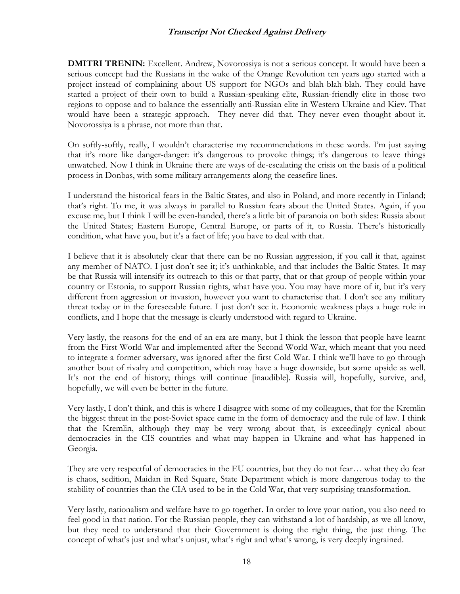**DMITRI TRENIN:** Excellent. Andrew, Novorossiya is not a serious concept. It would have been a serious concept had the Russians in the wake of the Orange Revolution ten years ago started with a project instead of complaining about US support for NGOs and blah-blah-blah. They could have started a project of their own to build a Russian-speaking elite, Russian-friendly elite in those two regions to oppose and to balance the essentially anti-Russian elite in Western Ukraine and Kiev. That would have been a strategic approach. They never did that. They never even thought about it. Novorossiya is a phrase, not more than that.

On softly-softly, really, I wouldn't characterise my recommendations in these words. I'm just saying that it's more like danger-danger: it's dangerous to provoke things; it's dangerous to leave things unwatched. Now I think in Ukraine there are ways of de-escalating the crisis on the basis of a political process in Donbas, with some military arrangements along the ceasefire lines.

I understand the historical fears in the Baltic States, and also in Poland, and more recently in Finland; that's right. To me, it was always in parallel to Russian fears about the United States. Again, if you excuse me, but I think I will be even-handed, there's a little bit of paranoia on both sides: Russia about the United States; Eastern Europe, Central Europe, or parts of it, to Russia. There's historically condition, what have you, but it's a fact of life; you have to deal with that.

I believe that it is absolutely clear that there can be no Russian aggression, if you call it that, against any member of NATO. I just don't see it; it's unthinkable, and that includes the Baltic States. It may be that Russia will intensify its outreach to this or that party, that or that group of people within your country or Estonia, to support Russian rights, what have you. You may have more of it, but it's very different from aggression or invasion, however you want to characterise that. I don't see any military threat today or in the foreseeable future. I just don't see it. Economic weakness plays a huge role in conflicts, and I hope that the message is clearly understood with regard to Ukraine.

Very lastly, the reasons for the end of an era are many, but I think the lesson that people have learnt from the First World War and implemented after the Second World War, which meant that you need to integrate a former adversary, was ignored after the first Cold War. I think we'll have to go through another bout of rivalry and competition, which may have a huge downside, but some upside as well. It's not the end of history; things will continue [inaudible]. Russia will, hopefully, survive, and, hopefully, we will even be better in the future.

Very lastly, I don't think, and this is where I disagree with some of my colleagues, that for the Kremlin the biggest threat in the post-Soviet space came in the form of democracy and the rule of law. I think that the Kremlin, although they may be very wrong about that, is exceedingly cynical about democracies in the CIS countries and what may happen in Ukraine and what has happened in Georgia.

They are very respectful of democracies in the EU countries, but they do not fear… what they do fear is chaos, sedition, Maidan in Red Square, State Department which is more dangerous today to the stability of countries than the CIA used to be in the Cold War, that very surprising transformation.

Very lastly, nationalism and welfare have to go together. In order to love your nation, you also need to feel good in that nation. For the Russian people, they can withstand a lot of hardship, as we all know, but they need to understand that their Government is doing the right thing, the just thing. The concept of what's just and what's unjust, what's right and what's wrong, is very deeply ingrained.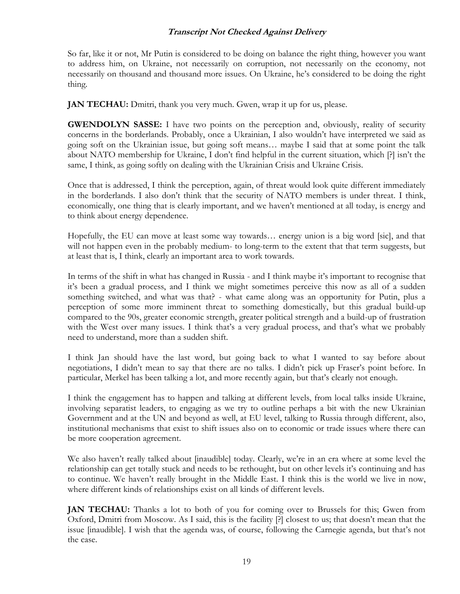So far, like it or not, Mr Putin is considered to be doing on balance the right thing, however you want to address him, on Ukraine, not necessarily on corruption, not necessarily on the economy, not necessarily on thousand and thousand more issues. On Ukraine, he's considered to be doing the right thing.

**JAN TECHAU:** Dmitri, thank you very much. Gwen, wrap it up for us, please.

**GWENDOLYN SASSE:** I have two points on the perception and, obviously, reality of security concerns in the borderlands. Probably, once a Ukrainian, I also wouldn't have interpreted we said as going soft on the Ukrainian issue, but going soft means… maybe I said that at some point the talk about NATO membership for Ukraine, I don't find helpful in the current situation, which [?] isn't the same, I think, as going softly on dealing with the Ukrainian Crisis and Ukraine Crisis.

Once that is addressed, I think the perception, again, of threat would look quite different immediately in the borderlands. I also don't think that the security of NATO members is under threat. I think, economically, one thing that is clearly important, and we haven't mentioned at all today, is energy and to think about energy dependence.

Hopefully, the EU can move at least some way towards… energy union is a big word [sic], and that will not happen even in the probably medium- to long-term to the extent that that term suggests, but at least that is, I think, clearly an important area to work towards.

In terms of the shift in what has changed in Russia - and I think maybe it's important to recognise that it's been a gradual process, and I think we might sometimes perceive this now as all of a sudden something switched, and what was that? - what came along was an opportunity for Putin, plus a perception of some more imminent threat to something domestically, but this gradual build-up compared to the 90s, greater economic strength, greater political strength and a build-up of frustration with the West over many issues. I think that's a very gradual process, and that's what we probably need to understand, more than a sudden shift.

I think Jan should have the last word, but going back to what I wanted to say before about negotiations, I didn't mean to say that there are no talks. I didn't pick up Fraser's point before. In particular, Merkel has been talking a lot, and more recently again, but that's clearly not enough.

I think the engagement has to happen and talking at different levels, from local talks inside Ukraine, involving separatist leaders, to engaging as we try to outline perhaps a bit with the new Ukrainian Government and at the UN and beyond as well, at EU level, talking to Russia through different, also, institutional mechanisms that exist to shift issues also on to economic or trade issues where there can be more cooperation agreement.

We also haven't really talked about [inaudible] today. Clearly, we're in an era where at some level the relationship can get totally stuck and needs to be rethought, but on other levels it's continuing and has to continue. We haven't really brought in the Middle East. I think this is the world we live in now, where different kinds of relationships exist on all kinds of different levels.

**JAN TECHAU:** Thanks a lot to both of you for coming over to Brussels for this; Gwen from Oxford, Dmitri from Moscow. As I said, this is the facility [?] closest to us; that doesn't mean that the issue [inaudible]. I wish that the agenda was, of course, following the Carnegie agenda, but that's not the case.